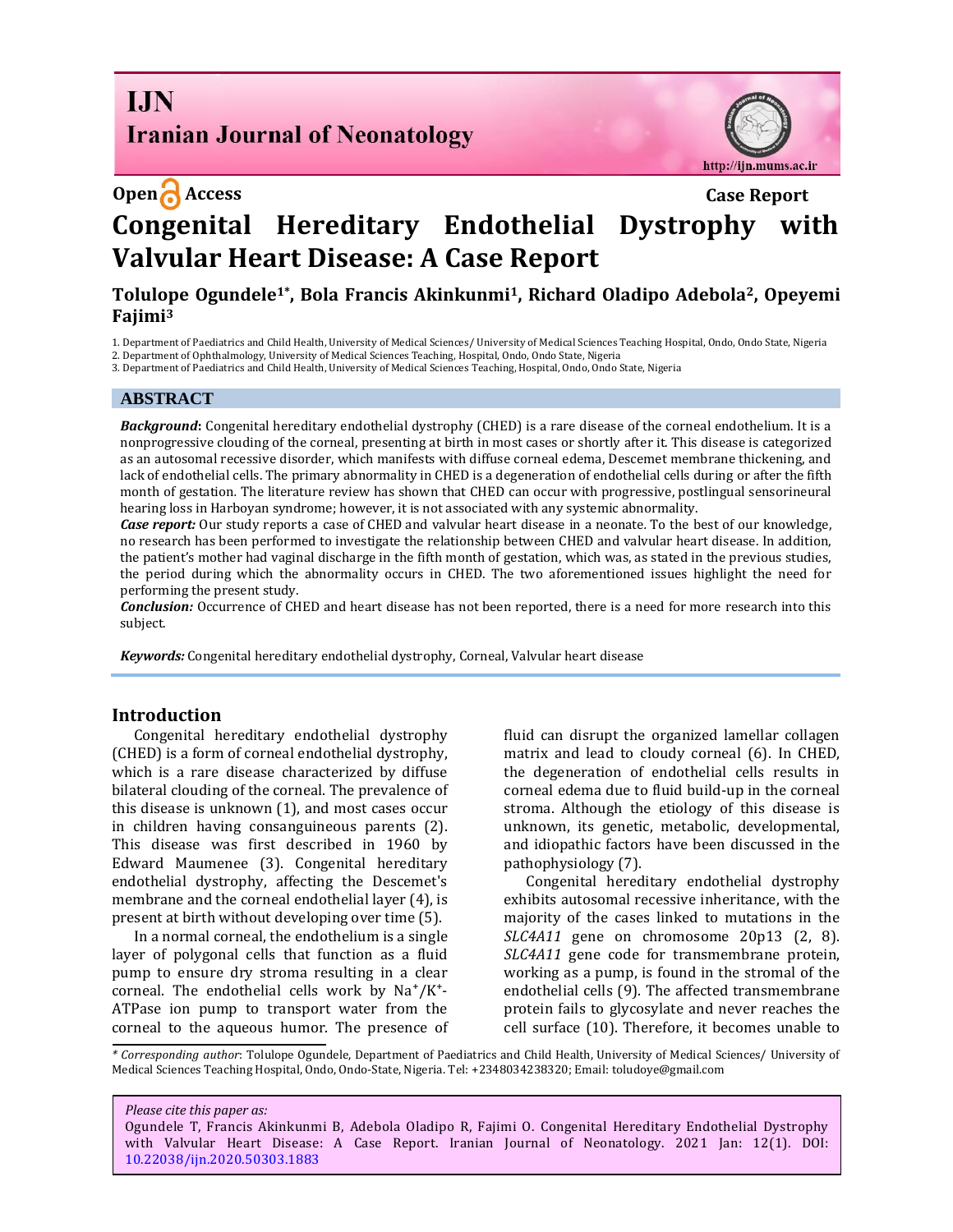**I.IN Iranian Journal of Neonatology** 

http://ijn.mums.ac.ir

# **Open Access Case Report Congenital Hereditary Endothelial Dystrophy with Valvular Heart Disease: A Case Report**

#### **Tolulope Ogundele1\* , Bola Francis Akinkunmi1, Richard Oladipo Adebola2, Opeyemi Fajimi<sup>3</sup>**

1. Department of Paediatrics and Child Health, University of Medical Sciences/ University of Medical Sciences Teaching Hospital, Ondo, Ondo State, Nigeria 2. Department of Ophthalmology, University of Medical Sciences Teaching, Hospital, Ondo, Ondo State, Nigeria

3. Department of Paediatrics and Child Health, University of Medical Sciences Teaching, Hospital, Ondo, Ondo State, Nigeria

#### **ABSTRACT**

*Background***:** Congenital hereditary endothelial dystrophy (CHED) is a rare disease of the corneal endothelium. It is a nonprogressive clouding of the corneal, presenting at birth in most cases or shortly after it. This disease is categorized as an autosomal recessive disorder, which manifests with diffuse corneal edema, Descemet membrane thickening, and lack of endothelial cells. The primary abnormality in CHED is a degeneration of endothelial cells during or after the fifth month of gestation*.* The literature review has shown that CHED can occur with progressive, postlingual sensorineural hearing loss in Harboyan syndrome; however, it is not associated with any systemic abnormality.

*Case report:* Our study reports a case of CHED and valvular heart disease in a neonate*.* To the best of our knowledge, no research has been performed to investigate the relationship between CHED and valvular heart disease. In addition, the patient's mother had vaginal discharge in the fifth month of gestation, which was, as stated in the previous studies, the period during which the abnormality occurs in CHED. The two aforementioned issues highlight the need for performing the present study.

*Conclusion:* Occurrence of CHED and heart disease has not been reported, there is a need for more research into this subject.

*Keywords:* Congenital hereditary endothelial dystrophy, Corneal, Valvular heart disease

#### **Introduction**

Congenital hereditary endothelial dystrophy (CHED) is a form of corneal endothelial dystrophy, which is a rare disease characterized by diffuse bilateral clouding of the corneal. The prevalence of this disease is unknown (1), and most cases occur in children having consanguineous parents (2). This disease was first described in 1960 by Edward Maumenee (3). Congenital hereditary endothelial dystrophy, affecting the Descemet's membrane and the corneal endothelial layer (4), is present at birth without developing over time (5).

In a normal corneal, the endothelium is a single layer of polygonal cells that function as a fluid pump to ensure dry stroma resulting in a clear corneal. The endothelial cells work by  $Na^+/K^+$ -ATPase ion pump to transport water from the corneal to the aqueous humor. The presence of fluid can disrupt the organized lamellar collagen matrix and lead to cloudy corneal (6). In CHED, the degeneration of endothelial cells results in corneal edema due to fluid build-up in the corneal stroma. Although the etiology of this disease is unknown, its genetic, metabolic, developmental, and idiopathic factors have been discussed in the pathophysiology (7).

Congenital hereditary endothelial dystrophy exhibits autosomal recessive inheritance, with the majority of the cases linked to mutations in the *SLC4A11* gene on chromosome 20p13 (2, 8). *SLC4A11* gene code for transmembrane protein, working as a pump, is found in the stromal of the endothelial cells (9). The affected transmembrane protein fails to glycosylate and never reaches the cell surface (10). Therefore, it becomes unable to

*\* Corresponding author*: Tolulope Ogundele, Department of Paediatrics and Child Health, University of Medical Sciences/ University of Medical Sciences Teaching Hospital, Ondo, Ondo-State, Nigeria. Tel: +2348034238320; Email[: toludoye@gmail.com](mailto:toludoye@gmail.com)

*Please cite this paper as:*

Ogundele T, Francis Akinkunmi B, Adebola Oladipo R, Fajimi O. Congenital Hereditary Endothelial Dystrophy with Valvular Heart Disease: A Case Report. Iranian Journal of Neonatology. 2021 Jan: 12(1). DOI: [10.22038/ijn.2020.50303.1883](https://ijn.mums.ac.ir/)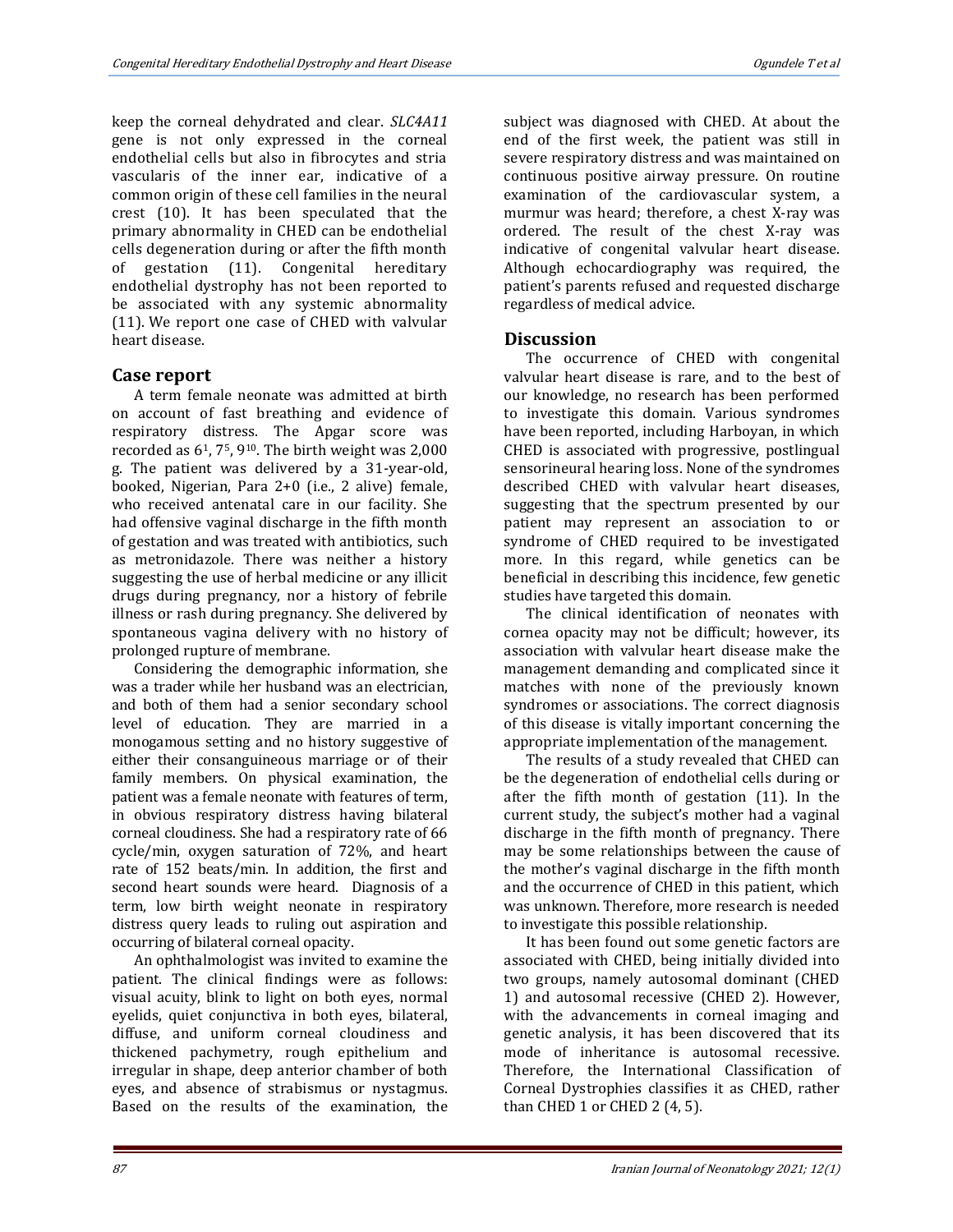keep the corneal dehydrated and clear. *SLC4A11* gene is not only expressed in the corneal endothelial cells but also in fibrocytes and stria vascularis of the inner ear, indicative of a common origin of these cell families in the neural crest (10). It has been speculated that the primary abnormality in CHED can be endothelial cells degeneration during or after the fifth month of gestation (11). Congenital hereditary endothelial dystrophy has not been reported to be associated with any systemic abnormality (11). We report one case of CHED with valvular heart disease.

# **Case report**

A term female neonate was admitted at birth on account of fast breathing and evidence of respiratory distress. The Apgar score was recorded as 61, 75, 910. The birth weight was 2,000 g. The patient was delivered by a 31-year-old, booked, Nigerian, Para 2+0 (i.e., 2 alive) female, who received antenatal care in our facility. She had offensive vaginal discharge in the fifth month of gestation and was treated with antibiotics, such as metronidazole. There was neither a history suggesting the use of herbal medicine or any illicit drugs during pregnancy, nor a history of febrile illness or rash during pregnancy. She delivered by spontaneous vagina delivery with no history of prolonged rupture of membrane.

Considering the demographic information, she was a trader while her husband was an electrician, and both of them had a senior secondary school level of education. They are married in a monogamous setting and no history suggestive of either their consanguineous marriage or of their family members. On physical examination, the patient was a female neonate with features of term, in obvious respiratory distress having bilateral corneal cloudiness. She had a respiratory rate of 66 cycle/min, oxygen saturation of 72%, and heart rate of 152 beats/min. In addition, the first and second heart sounds were heard. Diagnosis of a term, low birth weight neonate in respiratory distress query leads to ruling out aspiration and occurring of bilateral corneal opacity.

An ophthalmologist was invited to examine the patient. The clinical findings were as follows: visual acuity, blink to light on both eyes, normal eyelids, quiet conjunctiva in both eyes, bilateral, diffuse, and uniform corneal cloudiness and thickened pachymetry, rough epithelium and irregular in shape, deep anterior chamber of both eyes, and absence of strabismus or nystagmus. Based on the results of the examination, the

subject was diagnosed with CHED. At about the end of the first week, the patient was still in severe respiratory distress and was maintained on continuous positive airway pressure. On routine examination of the cardiovascular system, a murmur was heard; therefore, a chest X-ray was ordered. The result of the chest X-ray was indicative of congenital valvular heart disease. Although echocardiography was required, the patient's parents refused and requested discharge regardless of medical advice.

## **Discussion**

The occurrence of CHED with congenital valvular heart disease is rare, and to the best of our knowledge, no research has been performed to investigate this domain. Various syndromes have been reported, including Harboyan, in which CHED is associated with progressive, postlingual sensorineural hearing loss. None of the syndromes described CHED with valvular heart diseases, suggesting that the spectrum presented by our patient may represent an association to or syndrome of CHED required to be investigated more. In this regard, while genetics can be beneficial in describing this incidence, few genetic studies have targeted this domain.

The clinical identification of neonates with cornea opacity may not be difficult; however, its association with valvular heart disease make the management demanding and complicated since it matches with none of the previously known syndromes or associations. The correct diagnosis of this disease is vitally important concerning the appropriate implementation of the management.

The results of a study revealed that CHED can be the degeneration of endothelial cells during or after the fifth month of gestation (11). In the current study, the subject's mother had a vaginal discharge in the fifth month of pregnancy. There may be some relationships between the cause of the mother's vaginal discharge in the fifth month and the occurrence of CHED in this patient, which was unknown. Therefore, more research is needed to investigate this possible relationship.

It has been found out some genetic factors are associated with CHED, being initially divided into two groups, namely autosomal dominant (CHED 1) and autosomal recessive (CHED 2). However, with the advancements in corneal imaging and genetic analysis, it has been discovered that its mode of inheritance is autosomal recessive. Therefore, the International Classification of Corneal Dystrophies classifies it as CHED, rather than CHED 1 or CHED 2 (4, 5).